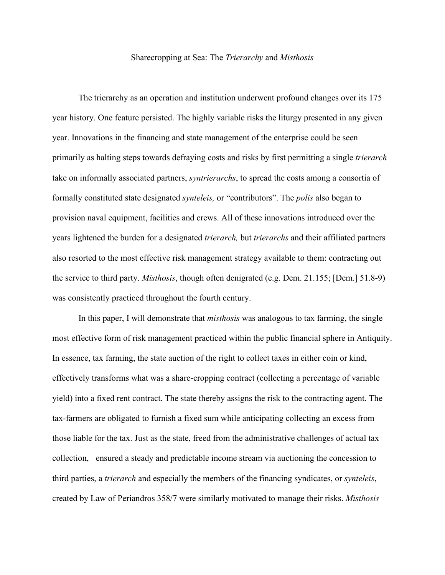## Sharecropping at Sea: The *Trierarchy* and *Misthosis*

The trierarchy as an operation and institution underwent profound changes over its 175 year history. One feature persisted. The highly variable risks the liturgy presented in any given year. Innovations in the financing and state management of the enterprise could be seen primarily as halting steps towards defraying costs and risks by first permitting a single *trierarch* take on informally associated partners, *syntrierarchs*, to spread the costs among a consortia of formally constituted state designated *synteleis,* or "contributors". The *polis* also began to provision naval equipment, facilities and crews. All of these innovations introduced over the years lightened the burden for a designated *trierarch,* but *trierarchs* and their affiliated partners also resorted to the most effective risk management strategy available to them: contracting out the service to third party. *Misthosis*, though often denigrated (e.g. Dem. 21.155; [Dem.] 51.8-9) was consistently practiced throughout the fourth century.

In this paper, I will demonstrate that *misthosis* was analogous to tax farming, the single most effective form of risk management practiced within the public financial sphere in Antiquity. In essence, tax farming, the state auction of the right to collect taxes in either coin or kind, effectively transforms what was a share-cropping contract (collecting a percentage of variable yield) into a fixed rent contract. The state thereby assigns the risk to the contracting agent. The tax-farmers are obligated to furnish a fixed sum while anticipating collecting an excess from those liable for the tax. Just as the state, freed from the administrative challenges of actual tax collection, ensured a steady and predictable income stream via auctioning the concession to third parties, a *trierarch* and especially the members of the financing syndicates, or *synteleis*, created by Law of Periandros 358/7 were similarly motivated to manage their risks. *Misthosis*